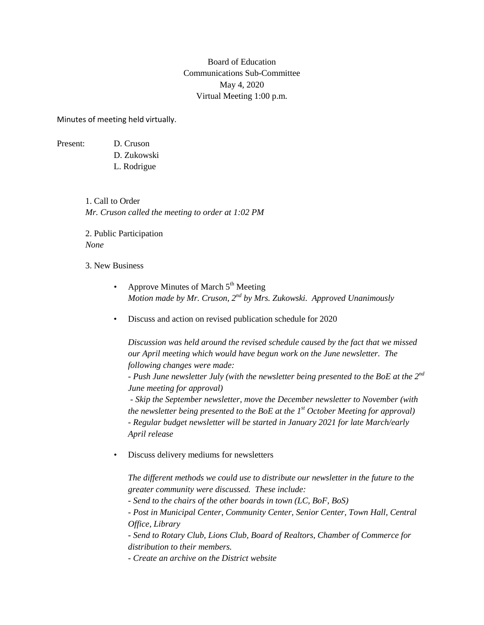## Board of Education Communications Sub-Committee May 4, 2020 Virtual Meeting 1:00 p.m.

Minutes of meeting held virtually.

Present: D. Cruson

D. Zukowski L. Rodrigue

1. Call to Order *Mr. Cruson called the meeting to order at 1:02 PM*

2. Public Participation *None*

3. New Business

- Approve Minutes of March 5<sup>th</sup> Meeting *Motion made by Mr. Cruson, 2nd by Mrs. Zukowski. Approved Unanimously*
- Discuss and action on revised publication schedule for 2020

*Discussion was held around the revised schedule caused by the fact that we missed our April meeting which would have begun work on the June newsletter. The following changes were made:*

*- Push June newsletter July (with the newsletter being presented to the BoE at the 2nd June meeting for approval)*

*- Skip the September newsletter, move the December newsletter to November (with the newsletter being presented to the BoE at the 1st October Meeting for approval) - Regular budget newsletter will be started in January 2021 for late March/early April release*

• Discuss delivery mediums for newsletters

*The different methods we could use to distribute our newsletter in the future to the greater community were discussed. These include:*

*- Send to the chairs of the other boards in town (LC, BoF, BoS)*

*- Post in Municipal Center, Community Center, Senior Center, Town Hall, Central Office, Library*

*- Send to Rotary Club, Lions Club, Board of Realtors, Chamber of Commerce for distribution to their members.*

*- Create an archive on the District website*